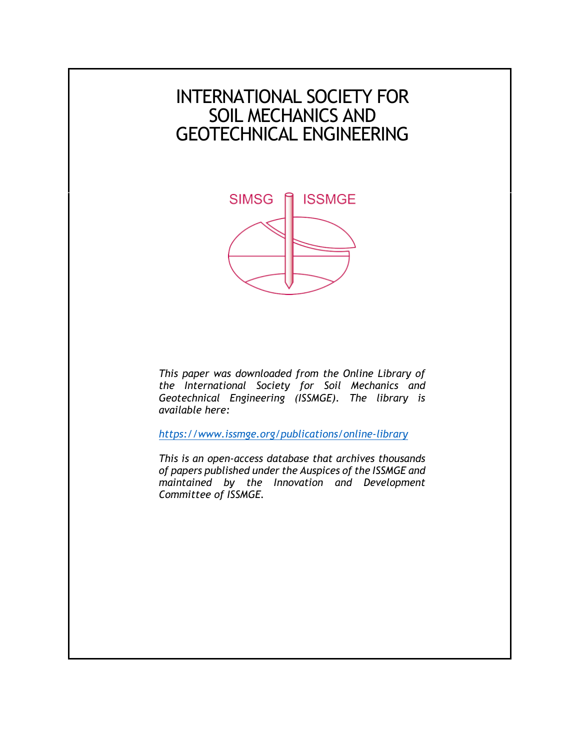# INTERNATIONAL SOCIETY FOR SOIL MECHANICS AND GEOTECHNICAL ENGINEERING



*This paper was downloaded from the Online Library of the International Society for Soil Mechanics and Geotechnical Engineering (ISSMGE). The library is available here:* 

*<https://www.issmge.org/publications/online-library>*

*This is an open-access database that archives thousands of papers published under the Auspices of the ISSMGE and maintained by the Innovation and Development Committee of ISSMGE.*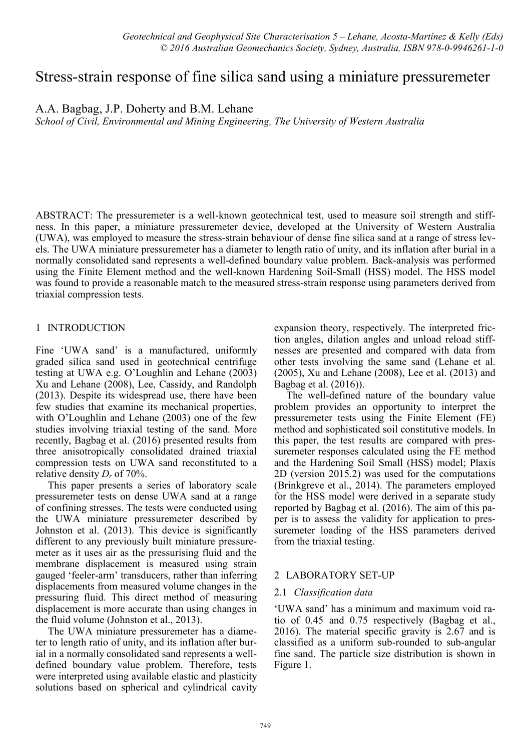## Stress-strain response of fine silica sand using a miniature pressuremeter

A.A. Bagbag, J.P. Doherty and B.M. Lehane

*School of Civil, Environmental and Mining Engineering, The University of Western Australia* 

ABSTRACT: The pressuremeter is a well-known geotechnical test, used to measure soil strength and stiffness. In this paper, a miniature pressuremeter device, developed at the University of Western Australia (UWA), was employed to measure the stress-strain behaviour of dense fine silica sand at a range of stress levels. The UWA miniature pressuremeter has a diameter to length ratio of unity, and its inflation after burial in a normally consolidated sand represents a well-defined boundary value problem. Back-analysis was performed using the Finite Element method and the well-known Hardening Soil-Small (HSS) model. The HSS model was found to provide a reasonable match to the measured stress-strain response using parameters derived from triaxial compression tests.

## 1 INTRODUCTION

Fine 'UWA sand' is a manufactured, uniformly graded silica sand used in geotechnical centrifuge testing at UWA e.g. O'Loughlin and Lehane (2003) Xu and Lehane (2008), Lee, Cassidy, and Randolph (2013). Despite its widespread use, there have been few studies that examine its mechanical properties, with O'Loughlin and Lehane (2003) one of the few studies involving triaxial testing of the sand. More recently, Bagbag et al. (2016) presented results from three anisotropically consolidated drained triaxial compression tests on UWA sand reconstituted to a relative density *Dr* of 70%.

This paper presents a series of laboratory scale pressuremeter tests on dense UWA sand at a range of confining stresses. The tests were conducted using the UWA miniature pressuremeter described by Johnston et al. (2013). This device is significantly different to any previously built miniature pressuremeter as it uses air as the pressurising fluid and the membrane displacement is measured using strain gauged 'feeler-arm' transducers, rather than inferring displacements from measured volume changes in the pressuring fluid. This direct method of measuring displacement is more accurate than using changes in the fluid volume (Johnston et al., 2013).

The UWA miniature pressuremeter has a diameter to length ratio of unity, and its inflation after burial in a normally consolidated sand represents a welldefined boundary value problem. Therefore, tests were interpreted using available elastic and plasticity solutions based on spherical and cylindrical cavity expansion theory, respectively. The interpreted friction angles, dilation angles and unload reload stiffnesses are presented and compared with data from other tests involving the same sand (Lehane et al. (2005), Xu and Lehane (2008), Lee et al. (2013) and Bagbag et al. (2016)).

The well-defined nature of the boundary value problem provides an opportunity to interpret the pressuremeter tests using the Finite Element (FE) method and sophisticated soil constitutive models. In this paper, the test results are compared with pressuremeter responses calculated using the FE method and the Hardening Soil Small (HSS) model; Plaxis 2D (version 2015.2) was used for the computations (Brinkgreve et al., 2014). The parameters employed for the HSS model were derived in a separate study reported by Bagbag et al. (2016). The aim of this paper is to assess the validity for application to pressuremeter loading of the HSS parameters derived from the triaxial testing.

## 2 LABORATORY SET-UP

## 2.1 *Classification data*

'UWA sand' has a minimum and maximum void ratio of 0.45 and 0.75 respectively (Bagbag et al., 2016). The material specific gravity is 2.67 and is classified as a uniform sub-rounded to sub-angular fine sand. The particle size distribution is shown in Figure 1.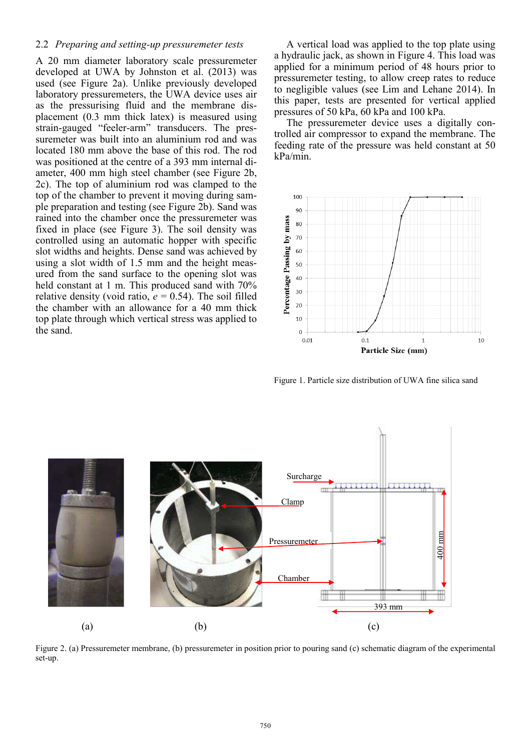#### 2.2 *Preparing and setting-up pressuremeter tests*

A 20 mm diameter laboratory scale pressuremeter developed at UWA by Johnston et al. (2013) was used (see Figure 2a). Unlike previously developed laboratory pressuremeters, the UWA device uses air as the pressurising fluid and the membrane displacement (0.3 mm thick latex) is measured using strain-gauged "feeler-arm" transducers. The pressuremeter was built into an aluminium rod and was located 180 mm above the base of this rod. The rod was positioned at the centre of a 393 mm internal diameter, 400 mm high steel chamber (see Figure 2b, 2c). The top of aluminium rod was clamped to the top of the chamber to prevent it moving during sample preparation and testing (see Figure 2b). Sand was rained into the chamber once the pressuremeter was fixed in place (see Figure 3). The soil density was controlled using an automatic hopper with specific slot widths and heights. Dense sand was achieved by using a slot width of 1.5 mm and the height measured from the sand surface to the opening slot was held constant at 1 m. This produced sand with 70% relative density (void ratio,  $e = 0.54$ ). The soil filled the chamber with an allowance for a 40 mm thick top plate through which vertical stress was applied to the sand.

A vertical load was applied to the top plate using a hydraulic jack, as shown in Figure 4. This load was applied for a minimum period of 48 hours prior to pressuremeter testing, to allow creep rates to reduce to negligible values (see Lim and Lehane 2014). In this paper, tests are presented for vertical applied pressures of 50 kPa, 60 kPa and 100 kPa.

The pressuremeter device uses a digitally controlled air compressor to expand the membrane. The feeding rate of the pressure was held constant at 50 kPa/min.



Figure 1. Particle size distribution of UWA fine silica sand



Figure 2. (a) Pressuremeter membrane, (b) pressuremeter in position prior to pouring sand (c) schematic diagram of the experimental set-up.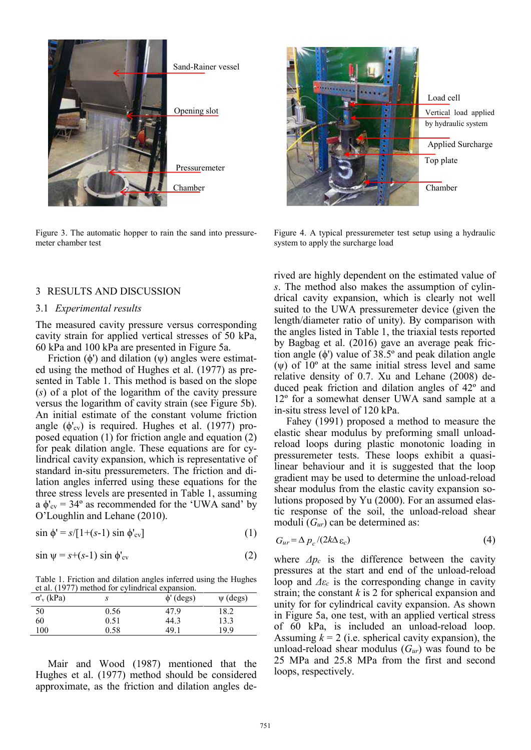

Figure 3. The automatic hopper to rain the sand into pressuremeter chamber test

#### 3 RESULTS AND DISCUSSION

#### 3.1 *Experimental results*

The measured cavity pressure versus corresponding cavity strain for applied vertical stresses of 50 kPa, 60 kPa and 100 kPa are presented in Figure 5a.

Friction  $(\phi')$  and dilation  $(\psi)$  angles were estimated using the method of Hughes et al. (1977) as presented in Table 1. This method is based on the slope (*s*) of a plot of the logarithm of the cavity pressure versus the logarithm of cavity strain (see Figure 5b). An initial estimate of the constant volume friction angle  $(\phi'_{\rm cv})$  is required. Hughes et al. (1977) proposed equation (1) for friction angle and equation (2) for peak dilation angle. These equations are for cylindrical cavity expansion, which is representative of standard in-situ pressuremeters. The friction and dilation angles inferred using these equations for the three stress levels are presented in Table 1, assuming a  $\phi'_{\text{cv}} = 34^{\circ}$  as recommended for the 'UWA sand' by O'Loughlin and Lehane (2010).

$$
\sin \phi' = s/[1+(s-1)\sin \phi'_{\text{cv}}] \tag{1}
$$

$$
\sin \psi = s + (s-1) \sin \phi'_{\text{cv}} \tag{2}
$$

Table 1. Friction and dilation angles inferred using the Hughes et al. (1977) method for cylindrical expansion.

| $\sigma_v$ (kPa) |      | $\phi'$ (degs) | $\psi$ (degs) |
|------------------|------|----------------|---------------|
| 50               | 0.56 | 47.9           | 18.2          |
| 60               | 0.51 | 44.3           | 13.3          |
| 100              | 0.58 | 49.1           | 19.9          |

Mair and Wood (1987) mentioned that the Hughes et al. (1977) method should be considered approximate, as the friction and dilation angles de-



Figure 4. A typical pressuremeter test setup using a hydraulic system to apply the surcharge load

rived are highly dependent on the estimated value of *s*. The method also makes the assumption of cylindrical cavity expansion, which is clearly not well suited to the UWA pressuremeter device (given the length/diameter ratio of unity). By comparison with the angles listed in Table 1, the triaxial tests reported by Bagbag et al. (2016) gave an average peak friction angle  $(\phi)$  value of 38.5 $^{\circ}$  and peak dilation angle  $(\psi)$  of  $10^{\circ}$  at the same initial stress level and same relative density of 0.7. Xu and Lehane (2008) deduced peak friction and dilation angles of 42º and 12º for a somewhat denser UWA sand sample at a in-situ stress level of 120 kPa.

Fahey (1991) proposed a method to measure the elastic shear modulus by preforming small unloadreload loops during plastic monotonic loading in pressuremeter tests. These loops exhibit a quasilinear behaviour and it is suggested that the loop gradient may be used to determine the unload-reload shear modulus from the elastic cavity expansion solutions proposed by Yu (2000). For an assumed elastic response of the soil, the unload-reload shear moduli (*Gur*) can be determined as:

$$
G_{ur} = \Delta p_c / (2k\Delta \varepsilon_c) \tag{4}
$$

where  $\Delta p_c$  is the difference between the cavity pressures at the start and end of the unload-reload loop and *Δε<sup>c</sup>* is the corresponding change in cavity strain; the constant *k* is 2 for spherical expansion and unity for for cylindrical cavity expansion. As shown in Figure 5a, one test, with an applied vertical stress of 60 kPa, is included an unload-reload loop. Assuming  $k = 2$  (i.e. spherical cavity expansion), the unload-reload shear modulus (*Gur*) was found to be 25 MPa and 25.8 MPa from the first and second loops, respectively.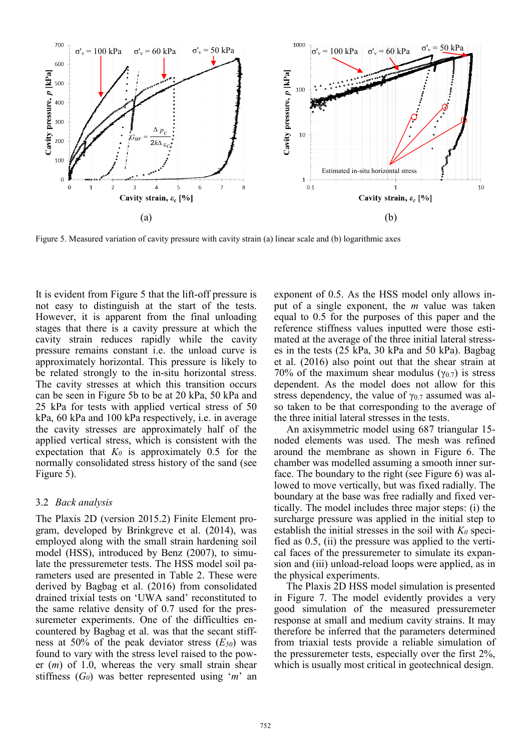

Figure 5. Measured variation of cavity pressure with cavity strain (a) linear scale and (b) logarithmic axes

It is evident from Figure 5 that the lift-off pressure is not easy to distinguish at the start of the tests. However, it is apparent from the final unloading stages that there is a cavity pressure at which the cavity strain reduces rapidly while the cavity pressure remains constant i.e. the unload curve is approximately horizontal. This pressure is likely to be related strongly to the in-situ horizontal stress. The cavity stresses at which this transition occurs can be seen in Figure 5b to be at 20 kPa, 50 kPa and 25 kPa for tests with applied vertical stress of 50 kPa, 60 kPa and 100 kPa respectively, i.e. in average the cavity stresses are approximately half of the applied vertical stress, which is consistent with the expectation that  $K_0$  is approximately 0.5 for the normally consolidated stress history of the sand (see Figure 5).

#### 3.2 *Back analysis*

The Plaxis 2D (version 2015.2) Finite Element program, developed by Brinkgreve et al. (2014), was employed along with the small strain hardening soil model (HSS), introduced by Benz (2007), to simulate the pressuremeter tests. The HSS model soil parameters used are presented in Table 2. These were derived by Bagbag et al. (2016) from consolidated drained trixial tests on 'UWA sand' reconstituted to the same relative density of 0.7 used for the pressuremeter experiments. One of the difficulties encountered by Bagbag et al. was that the secant stiffness at 50% of the peak deviator stress (*E50*) was found to vary with the stress level raised to the power (*m*) of 1.0, whereas the very small strain shear stiffness (*G0*) was better represented using '*m*' an

exponent of 0.5. As the HSS model only allows input of a single exponent, the *m* value was taken equal to 0.5 for the purposes of this paper and the reference stiffness values inputted were those estimated at the average of the three initial lateral stresses in the tests (25 kPa, 30 kPa and 50 kPa). Bagbag et al. (2016) also point out that the shear strain at 70% of the maximum shear modulus ( $\gamma_{0.7}$ ) is stress dependent. As the model does not allow for this stress dependency, the value of  $\gamma_{0.7}$  assumed was also taken to be that corresponding to the average of the three initial lateral stresses in the tests.

An axisymmetric model using 687 triangular 15 noded elements was used. The mesh was refined around the membrane as shown in Figure 6. The chamber was modelled assuming a smooth inner surface. The boundary to the right (see Figure 6) was allowed to move vertically, but was fixed radially. The boundary at the base was free radially and fixed vertically. The model includes three major steps: (i) the surcharge pressure was applied in the initial step to establish the initial stresses in the soil with  $K_0$  specified as 0.5, (ii) the pressure was applied to the vertical faces of the pressuremeter to simulate its expansion and (iii) unload-reload loops were applied, as in the physical experiments.

The Plaxis 2D HSS model simulation is presented in Figure 7. The model evidently provides a very good simulation of the measured pressuremeter response at small and medium cavity strains. It may therefore be inferred that the parameters determined from triaxial tests provide a reliable simulation of the pressuremeter tests, especially over the first 2%, which is usually most critical in geotechnical design.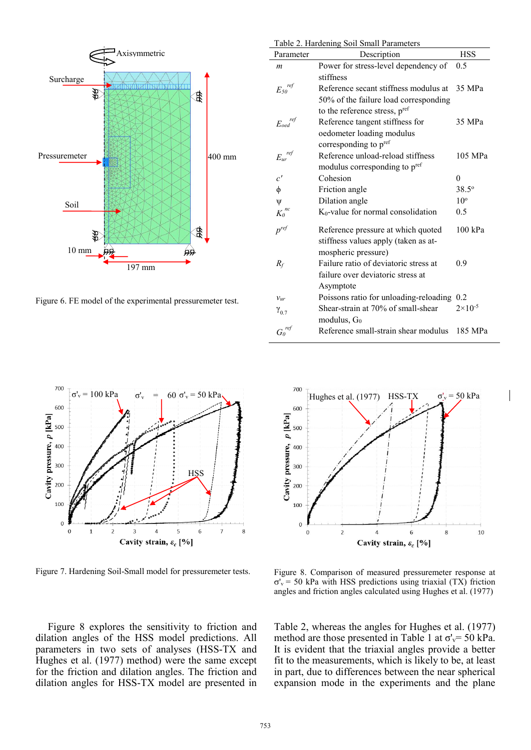

Figure 6. FE model of the experimental pressuremeter test.

| Parameter                                | Description                                | <b>HSS</b>         |
|------------------------------------------|--------------------------------------------|--------------------|
| $\boldsymbol{m}$                         | Power for stress-level dependency of       | 0.5                |
|                                          | stiffness                                  |                    |
| ${E_{\mathfrak{z}\boldsymbol{0}}}^{ref}$ | Reference secant stiffness modulus at      | 35 MPa             |
|                                          | 50% of the failure load corresponding      |                    |
|                                          | to the reference stress, pref              |                    |
| $E_{\mathit{oed}}^{\mathit{ref}}$        | Reference tangent stiffness for            | 35 MPa             |
|                                          | oedometer loading modulus                  |                    |
|                                          | corresponding to pref                      |                    |
| $E_{ur}^{ref}$                           | Reference unload-reload stiffness          | 105 MPa            |
|                                          | modulus corresponding to p <sup>ref</sup>  |                    |
| c'                                       | Cohesion                                   | 0                  |
| φ                                        | Friction angle                             | $38.5^{\circ}$     |
| ψ                                        | Dilation angle                             | $10^{\circ}$       |
| $K_0^{nc}$                               | $K_0$ -value for normal consolidation      | 0.5                |
| $p^{ref}$                                | Reference pressure at which quoted         | $100$ kPa          |
|                                          | stiffness values apply (taken as at-       |                    |
|                                          | mospheric pressure)                        |                    |
| $R_f$                                    | Failure ratio of deviatoric stress at      | 0.9                |
|                                          | failure over deviatoric stress at          |                    |
|                                          | Asymptote                                  |                    |
| $v_{ur}$                                 | Poissons ratio for unloading-reloading 0.2 |                    |
| $Y_{0.7}$                                | Shear-strain at 70% of small-shear         | $2 \times 10^{-5}$ |
|                                          | modulus, $G_0$                             |                    |
| ${G_0}^{ref}$                            | Reference small-strain shear modulus       | 185 MPa            |

Table 2. Hardening Soil Small Parameters



Figure 7. Hardening Soil-Small model for pressuremeter tests.





Figure 8. Comparison of measured pressuremeter response at  $\sigma_{v}$  = 50 kPa with HSS predictions using triaxial (TX) friction angles and friction angles calculated using Hughes et al. (1977)

Table 2, whereas the angles for Hughes et al. (1977) method are those presented in Table 1 at  $\sigma_v$ = 50 kPa. It is evident that the triaxial angles provide a better fit to the measurements, which is likely to be, at least in part, due to differences between the near spherical expansion mode in the experiments and the plane